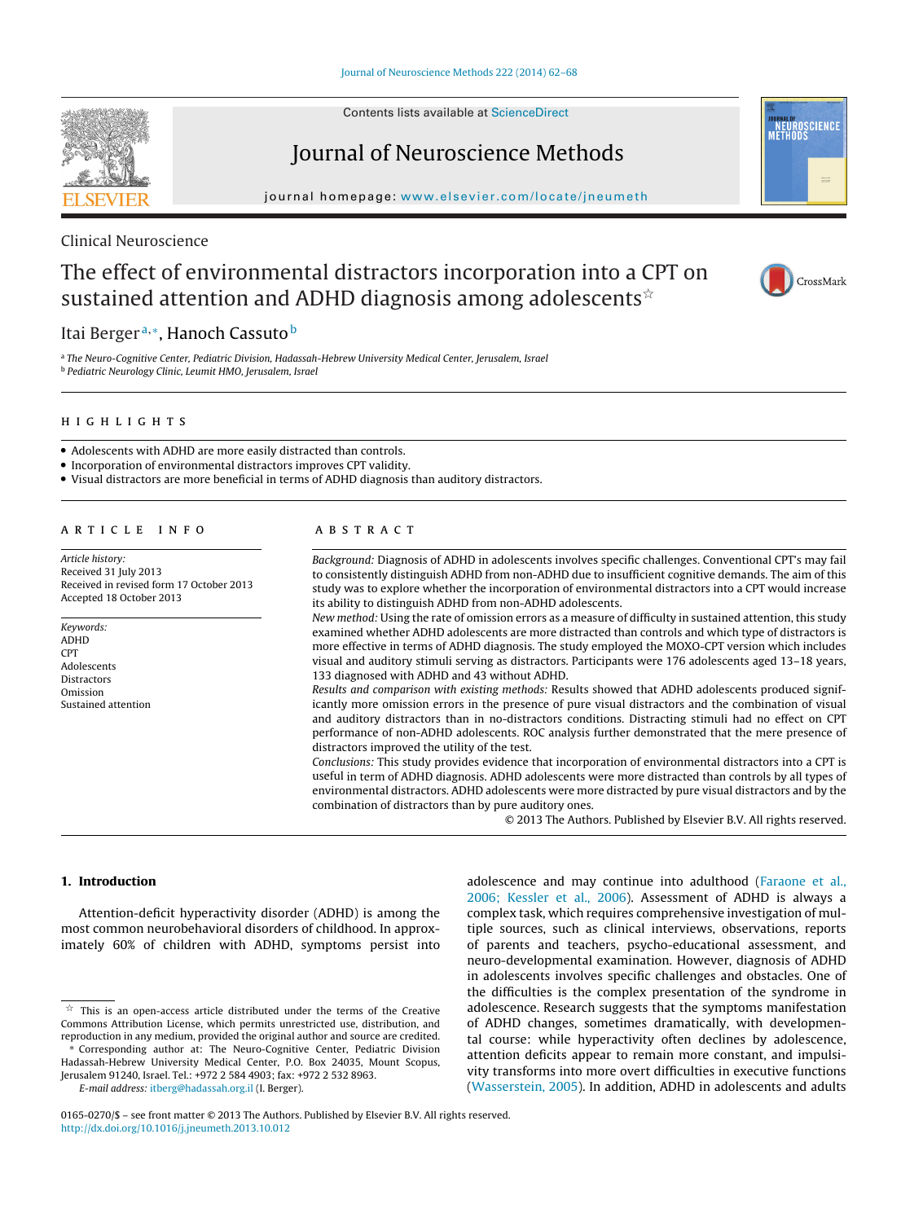Contents lists available at [ScienceDirect](http://www.sciencedirect.com/science/journal/01650270)



Journal of Neuroscience Methods

iournal homepage: www.elsevier.com/locate/ineumeth

# Clinical Neuroscience

# The effect of environmental distractors incorporation into a CPT on sustained attention and ADHD diagnosis among adolescents ${}^{\scriptscriptstyle \times}$



CrossMark

**IOURNAL OF<br>NEUROSCIENCE<br>METHODS** 

# Itai Berger<sup>a,∗</sup>, Hanoch Cassuto<sup>b</sup>

a The Neuro-Cognitive Center, Pediatric Division, Hadassah-Hebrew University Medical Center, Jerusalem, Israel <sup>b</sup> Pediatric Neurology Clinic, Leumit HMO, Jerusalem, Israel

#### **HIGHLIGHTS**

- Adolescents with ADHD are more easily distracted than controls.
- Incorporation of environmental distractors improves CPT validity.
- Visual distractors are more beneficial in terms of ADHD diagnosis than auditory distractors.

# ARTICLE INFO

Article history: Received 31 July 2013 Received in revised form 17 October 2013 Accepted 18 October 2013

#### Keywords: ADHD CPT Adolescents Distractors Omission Sustained attention

# **ARSTRACT**

Background: Diagnosis of ADHD in adolescents involves specific challenges. Conventional CPT's may fail to consistently distinguish ADHD from non-ADHD due to insufficient cognitive demands. The aim of this study was to explore whether the incorporation of environmental distractors into a CPT would increase its ability to distinguish ADHD from non-ADHD adolescents.

New method: Using the rate of omission errors as a measure of difficulty in sustained attention, this study examined whether ADHD adolescents are more distracted than controls and which type of distractors is more effective in terms of ADHD diagnosis. The study employed the MOXO-CPT version which includes visual and auditory stimuli serving as distractors. Participants were 176 adolescents aged 13–18 years, 133 diagnosed with ADHD and 43 without ADHD.

Results and comparison with existing methods: Results showed that ADHD adolescents produced significantly more omission errors in the presence of pure visual distractors and the combination of visual and auditory distractors than in no-distractors conditions. Distracting stimuli had no effect on CPT performance of non-ADHD adolescents. ROC analysis further demonstrated that the mere presence of distractors improved the utility of the test.

Conclusions: This study provides evidence that incorporation of environmental distractors into a CPT is useful in term of ADHD diagnosis. ADHD adolescents were more distracted than controls by all types of environmental distractors. ADHD adolescents were more distracted by pure visual distractors and by the combination of distractors than by pure auditory ones.

© 2013 The Authors. Published by Elsevier B.V. All rights reserved.

# **1. Introduction**

Attention-deficit hyperactivity disorder (ADHD) is among the most common neurobehavioral disorders of childhood. In approximately 60% of children with ADHD, symptoms persist into

Jerusalem 91240, Israel. Tel.: +972 2 584 4903; fax: +972 2 532 8963. E-mail address: [itberg@hadassah.org.il](mailto:itberg@hadassah.org.il) (I. Berger).

adolescence and may continue into adulthood ([Faraone](#page-6-0) et [al.,](#page-6-0) [2006;](#page-6-0) [Kessler](#page-6-0) et [al.,](#page-6-0) [2006\).](#page-6-0) Assessment of ADHD is always a complex task, which requires comprehensive investigation of multiple sources, such as clinical interviews, observations, reports of parents and teachers, psycho-educational assessment, and neuro-developmental examination. However, diagnosis of ADHD in adolescents involves specific challenges and obstacles. One of the difficulties is the complex presentation of the syndrome in adolescence. Research suggests that the symptoms manifestation of ADHD changes, sometimes dramatically, with developmental course: while hyperactivity often declines by adolescence, attention deficits appear to remain more constant, and impulsivity transforms into more overt difficulties in executive functions [\(Wasserstein,](#page-6-0) [2005\).](#page-6-0) In addition, ADHD in adolescents and adults

 $\overrightarrow{x}$  This is an open-access article distributed under the terms of the Creative Commons Attribution License, which permits unrestricted use, distribution, and reproduction in any medium, provided the original author and source are credited.

Corresponding author at: The Neuro-Cognitive Center, Pediatric Division Hadassah-Hebrew University Medical Center, P.O. Box 24035, Mount Scopus,

<sup>0165-0270/\$</sup> – see front matter © 2013 The Authors. Published by Elsevier B.V. All rights reserved. [http://dx.doi.org/10.1016/j.jneumeth.2013.10.012](dx.doi.org/10.1016/j.jneumeth.2013.10.012)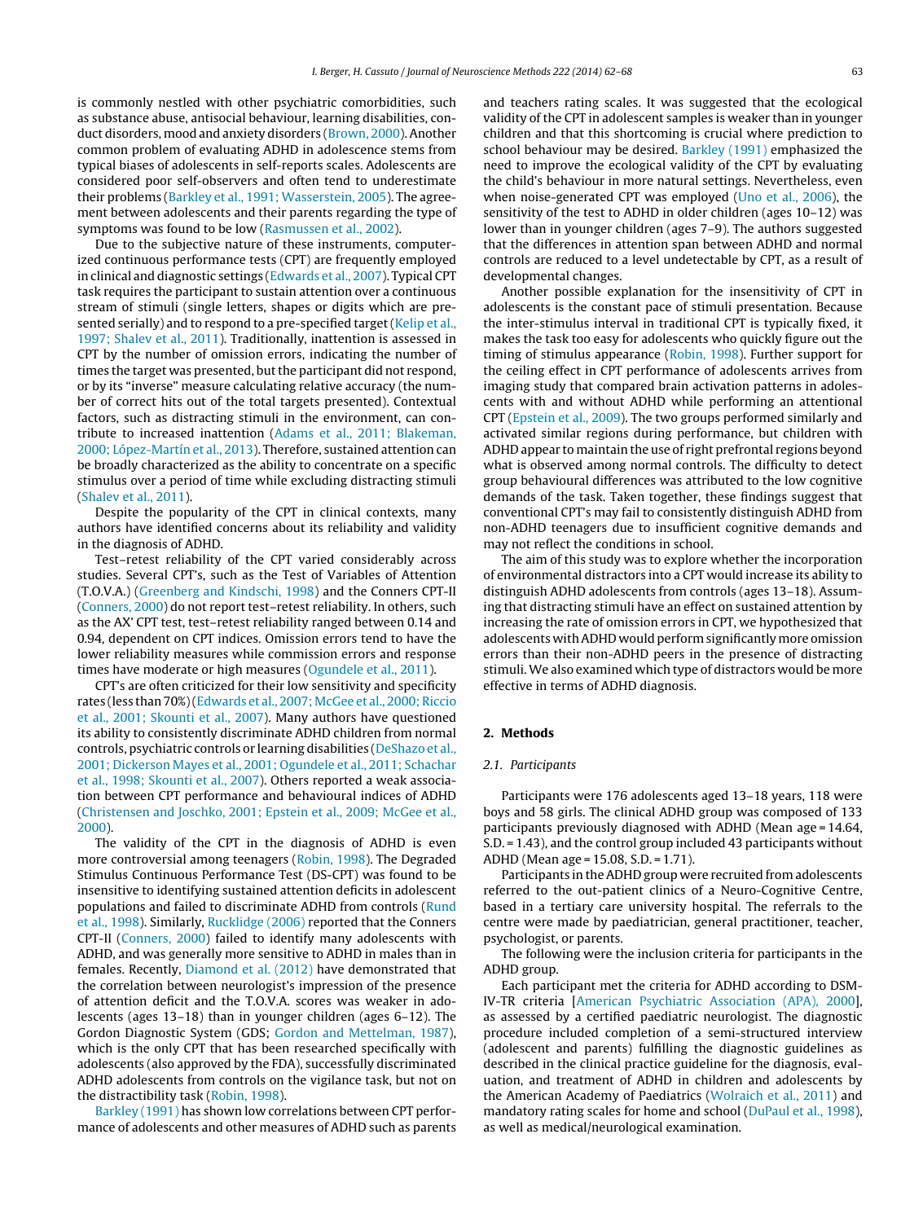is commonly nestled with other psychiatric comorbidities, such as substance abuse, antisocial behaviour, learning disabilities, conduct disorders, mood and anxiety disorders [\(Brown,](#page-5-0) [2000\).](#page-5-0) Another common problem of evaluating ADHD in adolescence stems from typical biases of adolescents in self-reports scales. Adolescents are considered poor self-observers and often tend to underestimate their problems [\(Barkley](#page-5-0) et [al.,](#page-5-0) [1991;](#page-5-0) [Wasserstein,](#page-5-0) [2005\).](#page-5-0) The agreement between adolescents and their parents regarding the type of symptoms was found to be low [\(Rasmussen](#page-6-0) et [al.,](#page-6-0) [2002\).](#page-6-0)

Due to the subjective nature of these instruments, computerized continuous performance tests (CPT) are frequently employed in clinical and diagnostic settings ([Edwards](#page-5-0) et [al.,](#page-5-0) [2007\).](#page-5-0) Typical CPT task requires the participant to sustain attention over a continuous stream of stimuli (single letters, shapes or digits which are pre-sented serially) and to respond to a pre-specified target ([Kelip](#page-6-0) et [al.,](#page-6-0) [1997;](#page-6-0) [Shalev](#page-6-0) et [al.,](#page-6-0) [2011\).](#page-6-0) Traditionally, inattention is assessed in CPT by the number of omission errors, indicating the number of times the target was presented, but the participant did not respond, or by its "inverse" measure calculating relative accuracy (the number of correct hits out of the total targets presented). Contextual factors, such as distracting stimuli in the environment, can contribute to increased inattention ([Adams](#page-5-0) et [al.,](#page-5-0) [2011;](#page-5-0) [Blakeman,](#page-5-0) [2000;](#page-5-0) [López-Martín](#page-5-0) et [al.,](#page-5-0) [2013\).](#page-5-0) Therefore, sustained attention can be broadly characterized as the ability to concentrate on a specific stimulus over a period of time while excluding distracting stimuli ([Shalev](#page-6-0) et [al.,](#page-6-0) [2011\).](#page-6-0)

Despite the popularity of the CPT in clinical contexts, many authors have identified concerns about its reliability and validity in the diagnosis of ADHD.

Test–retest reliability of the CPT varied considerably across studies. Several CPT's, such as the Test of Variables of Attention (T.O.V.A.) ([Greenberg](#page-6-0) [and](#page-6-0) [Kindschi,](#page-6-0) [1998\)](#page-6-0) and the Conners CPT-II ([Conners,](#page-5-0) [2000\)](#page-5-0) do not report test–retest reliability. In others, such as the AX' CPT test, test–retest reliability ranged between 0.14 and 0.94, dependent on CPT indices. Omission errors tend to have the lower reliability measures while commission errors and response times have moderate or high measures [\(Ogundele](#page-6-0) et [al.,](#page-6-0) [2011\).](#page-6-0)

CPT's are often criticized for their low sensitivity and specificity rates (less than 70%) [\(Edwards](#page-5-0) et [al.,](#page-5-0) 2007; McGee et al., 2000; Riccio et [al.,](#page-5-0) [2001;](#page-5-0) [Skounti](#page-5-0) et [al.,](#page-5-0) [2007\).](#page-5-0) Many authors have questioned its ability to consistently discriminate ADHD children from normal controls, psychiatric controls or learning disabilities ([DeShazo](#page-5-0) et [al.,](#page-5-0) [2001;](#page-5-0) [Dickerson](#page-5-0) [Mayes](#page-5-0) et [al.,](#page-5-0) [2001;](#page-5-0) [Ogundele](#page-5-0) et [al.,](#page-5-0) [2011;](#page-5-0) [Schachar](#page-5-0) et [al.,](#page-5-0) [1998;](#page-5-0) [Skounti](#page-5-0) et [al.,](#page-5-0) [2007\).](#page-5-0) Others reported a weak association between CPT performance and behavioural indices of ADHD ([Christensen](#page-5-0) [and](#page-5-0) [Joschko,](#page-5-0) [2001;](#page-5-0) [Epstein](#page-5-0) et [al.,](#page-5-0) [2009;](#page-5-0) [McGee](#page-5-0) et [al.,](#page-5-0) [2000\).](#page-5-0)

The validity of the CPT in the diagnosis of ADHD is even more controversial among teenagers [\(Robin,](#page-6-0) [1998\).](#page-6-0) The Degraded Stimulus Continuous Performance Test (DS-CPT) was found to be insensitive to identifying sustained attention deficits in adolescent populations and failed to discriminate ADHD from controls [\(Rund](#page-6-0) et [al.,](#page-6-0) [1998\).](#page-6-0) Similarly, [Rucklidge](#page-6-0) [\(2006\)](#page-6-0) reported that the Conners CPT-II [\(Conners,](#page-5-0) [2000\)](#page-5-0) failed to identify many adolescents with ADHD, and was generally more sensitive to ADHD in males than in females. Recently, [Diamond](#page-5-0) et [al.](#page-5-0) [\(2012\)](#page-5-0) have demonstrated that the correlation between neurologist's impression of the presence of attention deficit and the T.O.V.A. scores was weaker in adolescents (ages 13–18) than in younger children (ages 6–12). The Gordon Diagnostic System (GDS; [Gordon](#page-6-0) [and](#page-6-0) [Mettelman,](#page-6-0) [1987\),](#page-6-0) which is the only CPT that has been researched specifically with adolescents (also approved by the FDA), successfully discriminated ADHD adolescents from controls on the vigilance task, but not on the distractibility task ([Robin,](#page-6-0) [1998\).](#page-6-0)

[Barkley](#page-5-0) [\(1991\)](#page-5-0) has shown low correlations between CPT performance of adolescents and other measures of ADHD such as parents and teachers rating scales. It was suggested that the ecological validity of the CPT in adolescent samples is weaker than in younger children and that this shortcoming is crucial where prediction to school behaviour may be desired. [Barkley](#page-5-0) [\(1991\)](#page-5-0) emphasized the need to improve the ecological validity of the CPT by evaluating the child's behaviour in more natural settings. Nevertheless, even when noise-generated CPT was employed [\(Uno](#page-6-0) et [al.,](#page-6-0) [2006\),](#page-6-0) the sensitivity of the test to ADHD in older children (ages 10–12) was lower than in younger children (ages 7–9). The authors suggested that the differences in attention span between ADHD and normal controls are reduced to a level undetectable by CPT, as a result of developmental changes.

Another possible explanation for the insensitivity of CPT in adolescents is the constant pace of stimuli presentation. Because the inter-stimulus interval in traditional CPT is typically fixed, it makes the task too easy for adolescents who quickly figure out the timing of stimulus appearance ([Robin,](#page-6-0) [1998\).](#page-6-0) Further support for the ceiling effect in CPT performance of adolescents arrives from imaging study that compared brain activation patterns in adolescents with and without ADHD while performing an attentional CPT ([Epstein](#page-5-0) et [al.,](#page-5-0) [2009\).](#page-5-0) The two groups performed similarly and activated similar regions during performance, but children with ADHD appear to maintain the use of right prefrontal regions beyond what is observed among normal controls. The difficulty to detect group behavioural differences was attributed to the low cognitive demands of the task. Taken together, these findings suggest that conventional CPT's may fail to consistently distinguish ADHD from non-ADHD teenagers due to insufficient cognitive demands and may not reflect the conditions in school.

The aim of this study was to explore whether the incorporation of environmental distractors into a CPT would increase its ability to distinguish ADHD adolescents from controls (ages 13–18). Assuming that distracting stimuli have an effect on sustained attention by increasing the rate of omission errors in CPT, we hypothesized that adolescents with ADHD would perform significantly more omission errors than their non-ADHD peers in the presence of distracting stimuli. We also examined which type of distractors would be more effective in terms of ADHD diagnosis.

# **2. Methods**

# 2.1. Participants

Participants were 176 adolescents aged 13–18 years, 118 were boys and 58 girls. The clinical ADHD group was composed of 133 participants previously diagnosed with ADHD (Mean age = 14.64, S.D. = 1.43), and the control group included 43 participants without ADHD (Mean age = 15.08, S.D. = 1.71).

Participants in the ADHD group were recruited from adolescents referred to the out-patient clinics of a Neuro-Cognitive Centre, based in a tertiary care university hospital. The referrals to the centre were made by paediatrician, general practitioner, teacher, psychologist, or parents.

The following were the inclusion criteria for participants in the ADHD group.

Each participant met the criteria for ADHD according to DSM-IV-TR criteria [[American](#page-5-0) [Psychiatric](#page-5-0) [Association](#page-5-0) [\(APA\),](#page-5-0) [2000\],](#page-5-0) as assessed by a certified paediatric neurologist. The diagnostic procedure included completion of a semi-structured interview (adolescent and parents) fulfilling the diagnostic guidelines as described in the clinical practice guideline for the diagnosis, evaluation, and treatment of ADHD in children and adolescents by the American Academy of Paediatrics ([Wolraich](#page-6-0) et [al.,](#page-6-0) [2011\)](#page-6-0) and mandatory rating scales for home and school [\(DuPaul](#page-5-0) et [al.,](#page-5-0) [1998\),](#page-5-0) as well as medical/neurological examination.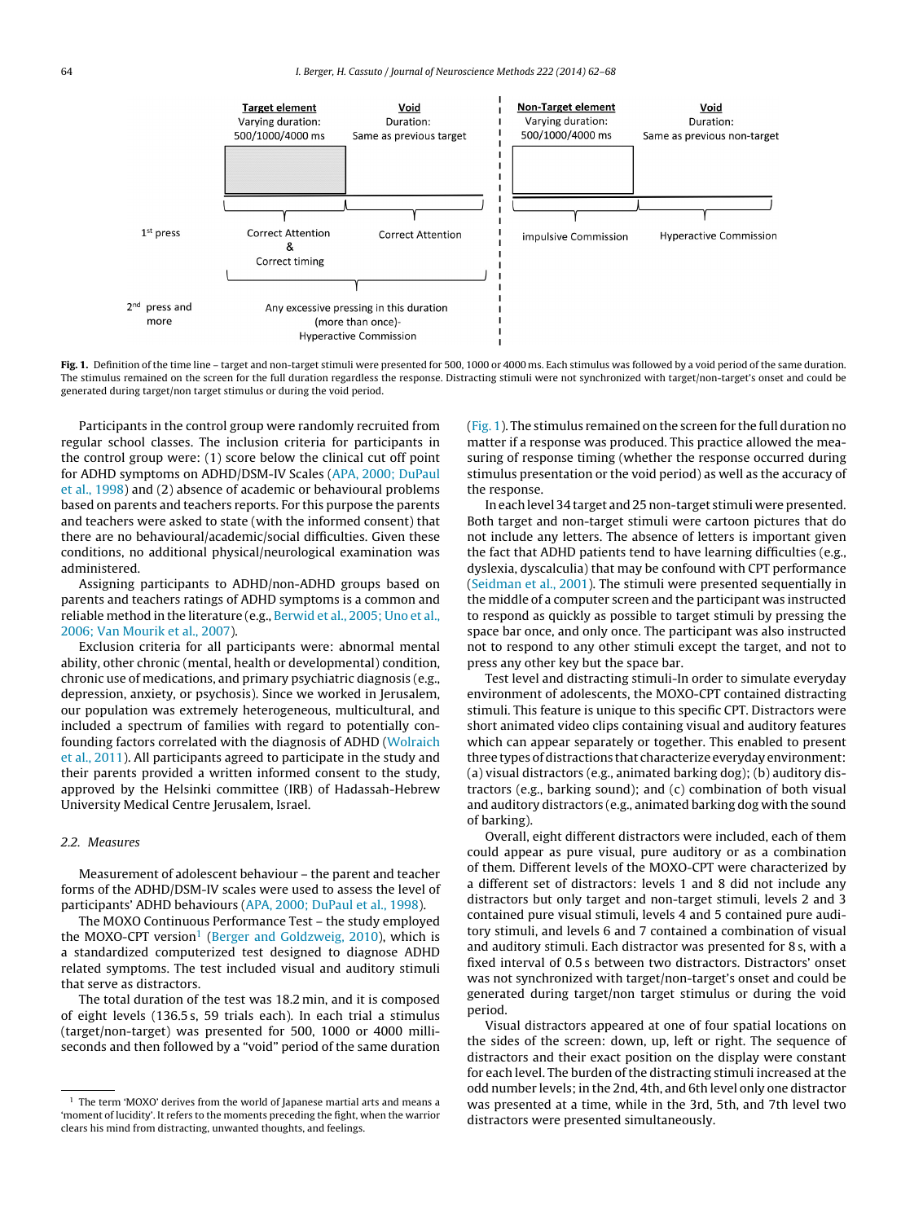

**Fig. 1.** Definition of the time line – target and non-target stimuli were presented for 500, 1000 or 4000 ms. Each stimulus was followed by a void period of the same duration. The stimulus remained on the screen for the full duration regardless the response. Distracting stimuli were not synchronized with target/non-target's onset and could be generated during target/non target stimulus or during the void period.

Participants in the control group were randomly recruited from regular school classes. The inclusion criteria for participants in the control group were: (1) score below the clinical cut off point for ADHD symptoms on ADHD/DSM-IV Scales ([APA,](#page-5-0) [2000;](#page-5-0) [DuPaul](#page-5-0) et [al.,](#page-5-0) [1998\)](#page-5-0) and (2) absence of academic or behavioural problems based on parents and teachers reports. For this purpose the parents and teachers were asked to state (with the informed consent) that there are no behavioural/academic/social difficulties. Given these conditions, no additional physical/neurological examination was administered.

Assigning participants to ADHD/non-ADHD groups based on parents and teachers ratings of ADHD symptoms is a common and reliable method in the literature (e.g., [Berwid](#page-5-0) et [al.,](#page-5-0) [2005;](#page-5-0) [Uno](#page-5-0) et [al.,](#page-5-0) [2006;](#page-5-0) [Van](#page-5-0) [Mourik](#page-5-0) et [al.,](#page-5-0) [2007\).](#page-5-0)

Exclusion criteria for all participants were: abnormal mental ability, other chronic (mental, health or developmental) condition, chronic use of medications, and primary psychiatric diagnosis (e.g., depression, anxiety, or psychosis). Since we worked in Jerusalem, our population was extremely heterogeneous, multicultural, and included a spectrum of families with regard to potentially confounding factors correlated with the diagnosis of ADHD [\(Wolraich](#page-6-0) et [al.,](#page-6-0) [2011\).](#page-6-0) All participants agreed to participate in the study and their parents provided a written informed consent to the study, approved by the Helsinki committee (IRB) of Hadassah-Hebrew University Medical Centre Jerusalem, Israel.

# 2.2. Measures

Measurement of adolescent behaviour – the parent and teacher forms of the ADHD/DSM-IV scales were used to assess the level of participants' ADHD behaviours ([APA,](#page-5-0) [2000;](#page-5-0) [DuPaul](#page-5-0) et [al.,](#page-5-0) [1998\).](#page-5-0)

The MOXO Continuous Performance Test – the study employed the MOXO-CPT version<sup>1</sup> [\(Berger](#page-5-0) [and](#page-5-0) [Goldzweig,](#page-5-0) [2010\),](#page-5-0) which is a standardized computerized test designed to diagnose ADHD related symptoms. The test included visual and auditory stimuli that serve as distractors.

The total duration of the test was 18.2 min, and it is composed of eight levels (136.5 s, 59 trials each). In each trial a stimulus (target/non-target) was presented for 500, 1000 or 4000 milliseconds and then followed by a "void" period of the same duration

(Fig. 1). The stimulus remained on the screen for the full duration no matter if a response was produced. This practice allowed the measuring of response timing (whether the response occurred during stimulus presentation or the void period) as well as the accuracy of the response.

In each level 34 target and 25 non-target stimuli were presented. Both target and non-target stimuli were cartoon pictures that do not include any letters. The absence of letters is important given the fact that ADHD patients tend to have learning difficulties (e.g., dyslexia, dyscalculia) that may be confound with CPT performance [\(Seidman](#page-6-0) et [al.,](#page-6-0) [2001\).](#page-6-0) The stimuli were presented sequentially in the middle of a computer screen and the participant was instructed to respond as quickly as possible to target stimuli by pressing the space bar once, and only once. The participant was also instructed not to respond to any other stimuli except the target, and not to press any other key but the space bar.

Test level and distracting stimuli-In order to simulate everyday environment of adolescents, the MOXO-CPT contained distracting stimuli. This feature is unique to this specific CPT. Distractors were short animated video clips containing visual and auditory features which can appear separately or together. This enabled to present three types of distractions that characterize everyday environment: (a) visual distractors (e.g., animated barking dog); (b) auditory distractors (e.g., barking sound); and (c) combination of both visual and auditory distractors (e.g., animated barking dog with the sound of barking).

Overall, eight different distractors were included, each of them could appear as pure visual, pure auditory or as a combination of them. Different levels of the MOXO-CPT were characterized by a different set of distractors: levels 1 and 8 did not include any distractors but only target and non-target stimuli, levels 2 and 3 contained pure visual stimuli, levels 4 and 5 contained pure auditory stimuli, and levels 6 and 7 contained a combination of visual and auditory stimuli. Each distractor was presented for 8 s, with a fixed interval of 0.5 s between two distractors. Distractors' onset was not synchronized with target/non-target's onset and could be generated during target/non target stimulus or during the void period.

Visual distractors appeared at one of four spatial locations on the sides of the screen: down, up, left or right. The sequence of distractors and their exact position on the display were constant for each level. The burden of the distracting stimuli increased at the odd number levels; in the 2nd, 4th, and 6th level only one distractor was presented at a time, while in the 3rd, 5th, and 7th level two distractors were presented simultaneously.

<sup>&</sup>lt;sup>1</sup> The term 'MOXO' derives from the world of Japanese martial arts and means a 'moment of lucidity'. It refers to the moments preceding the fight, when the warrior clears his mind from distracting, unwanted thoughts, and feelings.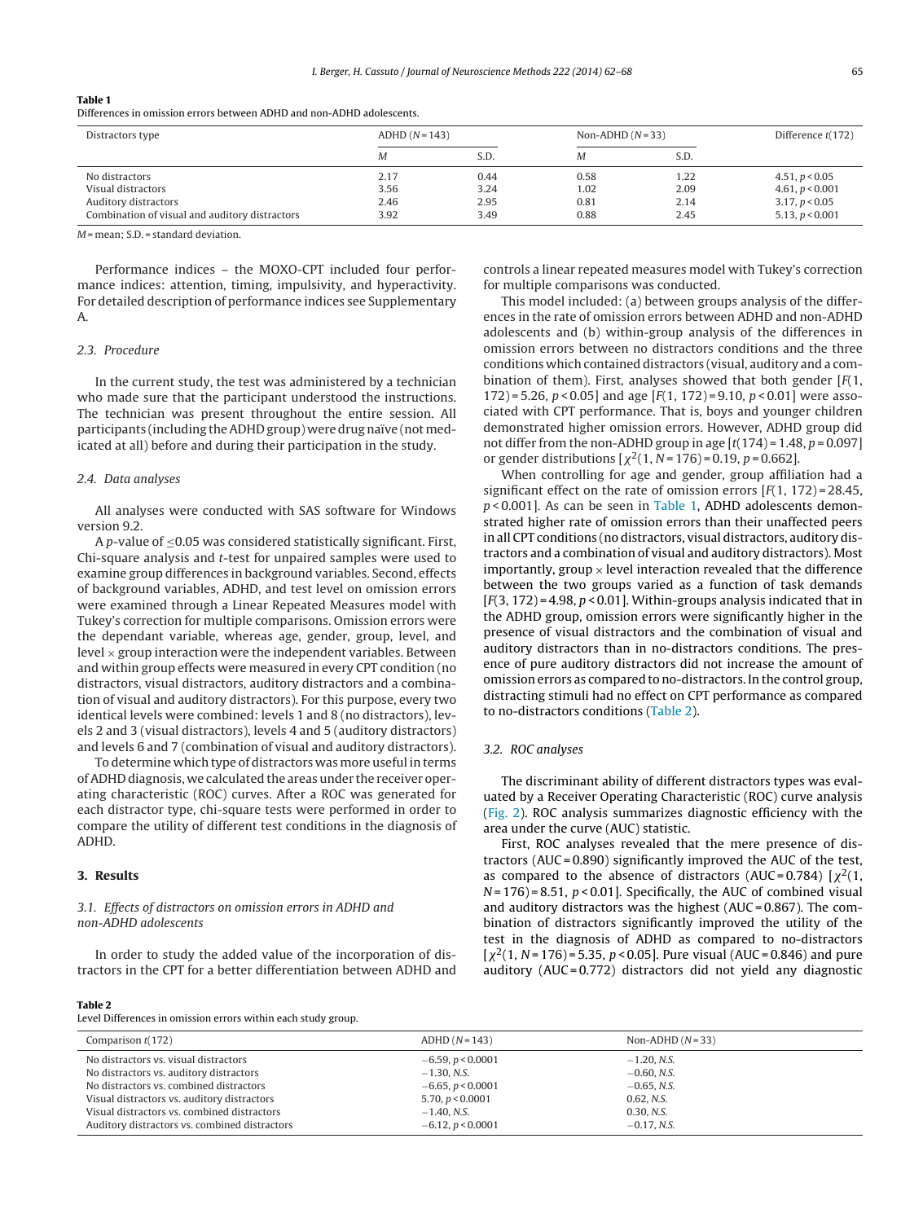#### **Table 1**

Differences in omission errors between ADHD and non-ADHD adolescents.

| Distractors type                               | $ADHD(N=143)$ |      | Non-ADHD $(N=33)$ |      | Difference $t(172)$ |
|------------------------------------------------|---------------|------|-------------------|------|---------------------|
|                                                | Μ             | S.D. | Μ                 | S.D. |                     |
| No distractors                                 | 2.17          | 0.44 | 0.58              | 1.22 | 4.51, p < 0.05      |
| Visual distractors                             | 3.56          | 3.24 | 1.02              | 2.09 | 4.61, $p < 0.001$   |
| Auditory distractors                           | 2.46          | 2.95 | 0.81              | 2.14 | 3.17, p < 0.05      |
| Combination of visual and auditory distractors | 3.92          | 3.49 | 0.88              | 2.45 | 5.13, $p < 0.001$   |

 $M$  = mean; S.D. = standard deviation.

Performance indices – the MOXO-CPT included four performance indices: attention, timing, impulsivity, and hyperactivity. For detailed description of performance indices see Supplementary A.

#### 2.3. Procedure

In the current study, the test was administered by a technician who made sure that the participant understood the instructions. The technician was present throughout the entire session. All participants (including the ADHD group) were drug naïve (not medicated at all) before and during their participation in the study.

#### 2.4. Data analyses

All analyses were conducted with SAS software for Windows version 9.2.

A p-value of ≤0.05 was considered statistically significant. First, Chi-square analysis and t-test for unpaired samples were used to examine group differences in background variables. Second, effects of background variables, ADHD, and test level on omission errors were examined through a Linear Repeated Measures model with Tukey's correction for multiple comparisons. Omission errors were the dependant variable, whereas age, gender, group, level, and level  $\times$  group interaction were the independent variables. Between and within group effects were measured in every CPT condition (no distractors, visual distractors, auditory distractors and a combination of visual and auditory distractors). For this purpose, every two identical levels were combined: levels 1 and 8 (no distractors), levels 2 and 3 (visual distractors), levels 4 and 5 (auditory distractors) and levels 6 and 7 (combination of visual and auditory distractors).

To determine which type of distractors was more useful in terms ofADHD diagnosis, we calculated the areas under the receiver operating characteristic (ROC) curves. After a ROC was generated for each distractor type, chi-square tests were performed in order to compare the utility of different test conditions in the diagnosis of ADHD.

## **3. Results**

# 3.1. Effects of distractors on omission errors in ADHD and non-ADHD adolescents

In order to study the added value of the incorporation of distractors in the CPT for a better differentiation between ADHD and controls a linear repeated measures model with Tukey's correction for multiple comparisons was conducted.

This model included: (a) between groups analysis of the differences in the rate of omission errors between ADHD and non-ADHD adolescents and (b) within-group analysis of the differences in omission errors between no distractors conditions and the three conditions which contained distractors (visual, auditory and a combination of them). First, analyses showed that both gender  $[F(1, \cdot)]$ 172) = 5.26,  $p < 0.05$ ] and age [ $F(1, 172) = 9.10$ ,  $p < 0.01$ ] were associated with CPT performance. That is, boys and younger children demonstrated higher omission errors. However, ADHD group did not differ from the non-ADHD group in age  $[t(174) = 1.48, p = 0.097]$ or gender distributions  $[\chi^2(1, N = 176) = 0.19, p = 0.662]$ .

When controlling for age and gender, group affiliation had a significant effect on the rate of omission errors  $[F(1, 172) = 28.45,$  $p$  < 0.001]. As can be seen in Table 1, ADHD adolescents demonstrated higher rate of omission errors than their unaffected peers in all CPT conditions (no distractors, visual distractors, auditory distractors and a combination of visual and auditory distractors). Most importantly, group  $\times$  level interaction revealed that the difference between the two groups varied as a function of task demands  $[F(3, 172) = 4.98, p < 0.01]$ . Within-groups analysis indicated that in the ADHD group, omission errors were significantly higher in the presence of visual distractors and the combination of visual and auditory distractors than in no-distractors conditions. The presence of pure auditory distractors did not increase the amount of omission errors as compared to no-distractors. In the control group, distracting stimuli had no effect on CPT performance as compared to no-distractors conditions (Table 2).

#### 3.2. ROC analyses

The discriminant ability of different distractors types was evaluated by a Receiver Operating Characteristic (ROC) curve analysis [\(Fig.](#page-4-0) 2). ROC analysis summarizes diagnostic efficiency with the area under the curve (AUC) statistic.

First, ROC analyses revealed that the mere presence of distractors (AUC = 0.890) significantly improved the AUC of the test, as compared to the absence of distractors (AUC = 0.784)  $[\chi^2(1,$  $N = 176$  = 8.51,  $p < 0.01$ ]. Specifically, the AUC of combined visual and auditory distractors was the highest ( $AUC = 0.867$ ). The combination of distractors significantly improved the utility of the test in the diagnosis of ADHD as compared to no-distractors  $[\chi^2(1, N=176) = 5.35, p < 0.05]$ . Pure visual (AUC = 0.846) and pure auditory (AUC = 0.772) distractors did not yield any diagnostic

#### **Table 2**

Level Differences in omission errors within each study group.

| Comparison $t(172)$                           | $ADHD(N=143)$       | Non-ADHD $(N=33)$ |
|-----------------------------------------------|---------------------|-------------------|
| No distractors vs. visual distractors         | $-6.59, p < 0.0001$ | $-1.20$ , N.S.    |
| No distractors vs. auditory distractors       | $-1.30, N.S.$       | $-0.60, N.S.$     |
| No distractors vs. combined distractors       | $-6.65, p < 0.0001$ | $-0.65$ , N.S.    |
| Visual distractors vs. auditory distractors   | 5.70, $p < 0.0001$  | 0.62, N.S.        |
| Visual distractors vs. combined distractors   | $-1.40$ , N.S.      | 0.30, N.S.        |
| Auditory distractors vs. combined distractors | $-6.12, p < 0.0001$ | $-0.17$ , N.S.    |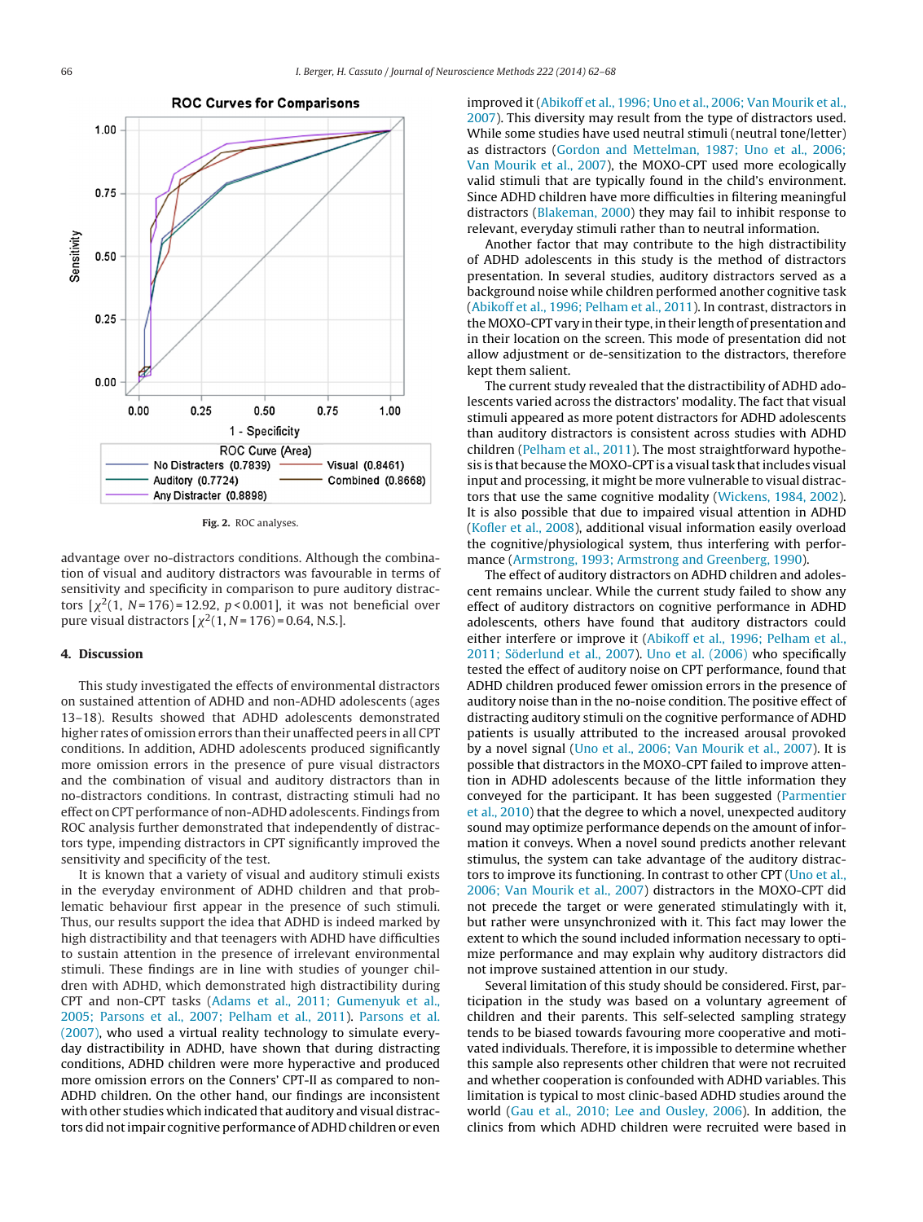<span id="page-4-0"></span>

**Fig. 2.** ROC analyses.

advantage over no-distractors conditions. Although the combination of visual and auditory distractors was favourable in terms of sensitivity and specificity in comparison to pure auditory distractors  $[\chi^2(1, N=176)=12.92, p<0.001]$ , it was not beneficial over pure visual distractors [ $\chi^2(1, N = 176) = 0.64$ , N.S.].

#### **4. Discussion**

This study investigated the effects of environmental distractors on sustained attention of ADHD and non-ADHD adolescents (ages 13–18). Results showed that ADHD adolescents demonstrated higher rates of omission errors than their unaffected peers in all CPT conditions. In addition, ADHD adolescents produced significantly more omission errors in the presence of pure visual distractors and the combination of visual and auditory distractors than in no-distractors conditions. In contrast, distracting stimuli had no effect on CPT performance of non-ADHD adolescents. Findings from ROC analysis further demonstrated that independently of distractors type, impending distractors in CPT significantly improved the sensitivity and specificity of the test.

It is known that a variety of visual and auditory stimuli exists in the everyday environment of ADHD children and that problematic behaviour first appear in the presence of such stimuli. Thus, our results support the idea that ADHD is indeed marked by high distractibility and that teenagers with ADHD have difficulties to sustain attention in the presence of irrelevant environmental stimuli. These findings are in line with studies of younger children with ADHD, which demonstrated high distractibility during CPT and non-CPT tasks [\(Adams](#page-5-0) et [al.,](#page-5-0) [2011;](#page-5-0) [Gumenyuk](#page-5-0) et [al.,](#page-5-0) [2005;](#page-5-0) [Parsons](#page-5-0) et [al.,](#page-5-0) [2007;](#page-5-0) [Pelham](#page-5-0) et [al.,](#page-5-0) [2011\).](#page-5-0) [Parsons](#page-6-0) et [al.](#page-6-0) [\(2007\),](#page-6-0) who used a virtual reality technology to simulate everyday distractibility in ADHD, have shown that during distracting conditions, ADHD children were more hyperactive and produced more omission errors on the Conners' CPT-II as compared to non-ADHD children. On the other hand, our findings are inconsistent with other studies which indicated that auditory and visual distractors did notimpair cognitive performance ofADHD children or even

improved it [\(Abikoff](#page-5-0) et [al.,](#page-5-0) [1996;](#page-5-0) [Uno](#page-5-0) et [al.,](#page-5-0) [2006;](#page-5-0) [Van](#page-5-0) [Mourik](#page-5-0) et [al.,](#page-5-0) [2007\).](#page-5-0) This diversity may result from the type of distractors used. While some studies have used neutral stimuli (neutral tone/letter) as distractors ([Gordon](#page-6-0) [and](#page-6-0) [Mettelman,](#page-6-0) [1987;](#page-6-0) [Uno](#page-6-0) et [al.,](#page-6-0) [2006;](#page-6-0) [Van](#page-6-0) [Mourik](#page-6-0) et [al.,](#page-6-0) [2007\),](#page-6-0) the MOXO-CPT used more ecologically valid stimuli that are typically found in the child's environment. Since ADHD children have more difficulties in filtering meaningful distractors [\(Blakeman,](#page-5-0) [2000\)](#page-5-0) they may fail to inhibit response to relevant, everyday stimuli rather than to neutral information.

Another factor that may contribute to the high distractibility of ADHD adolescents in this study is the method of distractors presentation. In several studies, auditory distractors served as a background noise while children performed another cognitive task [\(Abikoff](#page-5-0) et [al.,](#page-5-0) [1996;](#page-5-0) [Pelham](#page-5-0) et [al.,](#page-5-0) [2011\).](#page-5-0) In contrast, distractors in the MOXO-CPT vary in their type, in their length of presentation and in their location on the screen. This mode of presentation did not allow adjustment or de-sensitization to the distractors, therefore kept them salient.

The current study revealed that the distractibility of ADHD adolescents varied across the distractors' modality. The fact that visual stimuli appeared as more potent distractors for ADHD adolescents than auditory distractors is consistent across studies with ADHD children [\(Pelham](#page-6-0) et [al.,](#page-6-0) [2011\).](#page-6-0) The most straightforward hypothesis is that because the MOXO-CPT is a visual task that includes visual input and processing, it might be more vulnerable to visual distractors that use the same cognitive modality ([Wickens,](#page-6-0) [1984,](#page-6-0) [2002\).](#page-6-0) It is also possible that due to impaired visual attention in ADHD [\(Kofler](#page-6-0) et [al.,](#page-6-0) [2008\),](#page-6-0) additional visual information easily overload the cognitive/physiological system, thus interfering with performance ([Armstrong,](#page-5-0) [1993;](#page-5-0) [Armstrong](#page-5-0) [and](#page-5-0) [Greenberg,](#page-5-0) [1990\).](#page-5-0)

The effect of auditory distractors on ADHD children and adolescent remains unclear. While the current study failed to show any effect of auditory distractors on cognitive performance in ADHD adolescents, others have found that auditory distractors could either interfere or improve it ([Abikoff](#page-5-0) et [al.,](#page-5-0) [1996;](#page-5-0) [Pelham](#page-5-0) et [al.,](#page-5-0) [2011;](#page-5-0) [Söderlund](#page-5-0) et [al.,](#page-5-0) [2007\).](#page-5-0) [Uno](#page-6-0) et [al.](#page-6-0) [\(2006\)](#page-6-0) who specifically tested the effect of auditory noise on CPT performance, found that ADHD children produced fewer omission errors in the presence of auditory noise than in the no-noise condition. The positive effect of distracting auditory stimuli on the cognitive performance of ADHD patients is usually attributed to the increased arousal provoked by a novel signal ([Uno](#page-6-0) et [al.,](#page-6-0) [2006;](#page-6-0) [Van](#page-6-0) [Mourik](#page-6-0) et [al.,](#page-6-0) [2007\).](#page-6-0) It is possible that distractors in the MOXO-CPT failed to improve attention in ADHD adolescents because of the little information they conveyed for the participant. It has been suggested [\(Parmentier](#page-6-0) et [al.,](#page-6-0) [2010\)](#page-6-0) that the degree to which a novel, unexpected auditory sound may optimize performance depends on the amount of information it conveys. When a novel sound predicts another relevant stimulus, the system can take advantage of the auditory distractors to improve its functioning. In contrast to other CPT [\(Uno](#page-6-0) et [al.,](#page-6-0) [2006;](#page-6-0) [Van](#page-6-0) [Mourik](#page-6-0) et [al.,](#page-6-0) [2007\)](#page-6-0) distractors in the MOXO-CPT did not precede the target or were generated stimulatingly with it, but rather were unsynchronized with it. This fact may lower the extent to which the sound included information necessary to optimize performance and may explain why auditory distractors did not improve sustained attention in our study.

Several limitation of this study should be considered. First, participation in the study was based on a voluntary agreement of children and their parents. This self-selected sampling strategy tends to be biased towards favouring more cooperative and motivated individuals. Therefore, it is impossible to determine whether this sample also represents other children that were not recruited and whether cooperation is confounded with ADHD variables. This limitation is typical to most clinic-based ADHD studies around the world ([Gau](#page-6-0) et [al.,](#page-6-0) [2010;](#page-6-0) [Lee](#page-6-0) [and](#page-6-0) [Ousley,](#page-6-0) [2006\).](#page-6-0) In addition, the clinics from which ADHD children were recruited were based in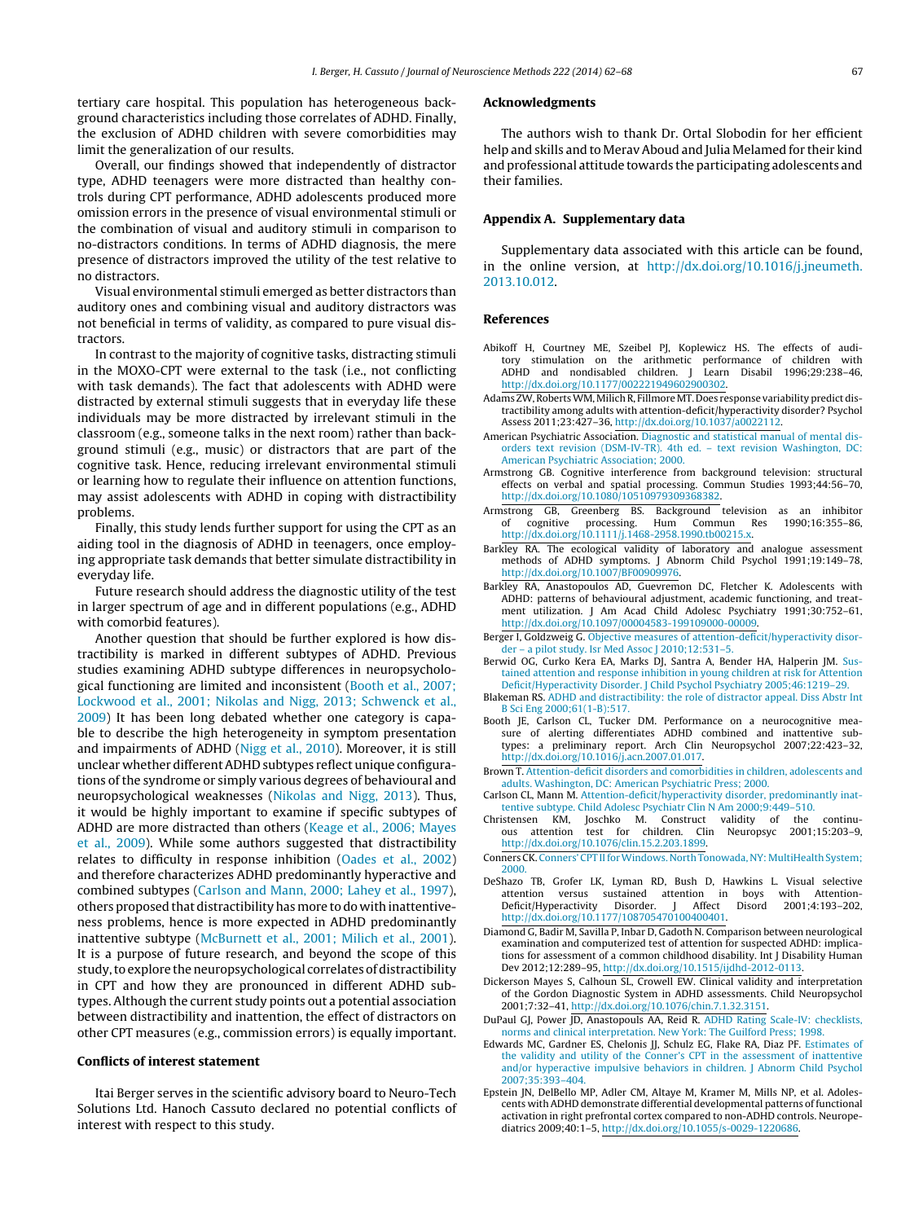<span id="page-5-0"></span>tertiary care hospital. This population has heterogeneous background characteristics including those correlates of ADHD. Finally, the exclusion of ADHD children with severe comorbidities may limit the generalization of our results.

Overall, our findings showed that independently of distractor type, ADHD teenagers were more distracted than healthy controls during CPT performance, ADHD adolescents produced more omission errors in the presence of visual environmental stimuli or the combination of visual and auditory stimuli in comparison to no-distractors conditions. In terms of ADHD diagnosis, the mere presence of distractors improved the utility of the test relative to no distractors.

Visual environmental stimuli emerged as better distractors than auditory ones and combining visual and auditory distractors was not beneficial in terms of validity, as compared to pure visual distractors.

In contrast to the majority of cognitive tasks, distracting stimuli in the MOXO-CPT were external to the task (i.e., not conflicting with task demands). The fact that adolescents with ADHD were distracted by external stimuli suggests that in everyday life these individuals may be more distracted by irrelevant stimuli in the classroom (e.g., someone talks in the next room) rather than background stimuli (e.g., music) or distractors that are part of the cognitive task. Hence, reducing irrelevant environmental stimuli or learning how to regulate their influence on attention functions, may assist adolescents with ADHD in coping with distractibility problems.

Finally, this study lends further support for using the CPT as an aiding tool in the diagnosis of ADHD in teenagers, once employing appropriate task demands that better simulate distractibility in everyday life.

Future research should address the diagnostic utility of the test in larger spectrum of age and in different populations (e.g., ADHD with comorbid features).

Another question that should be further explored is how distractibility is marked in different subtypes of ADHD. Previous studies examining ADHD subtype differences in neuropsychological functioning are limited and inconsistent (Booth et al., 2007; Lockwood et al., 2001; Nikolas and Nigg, 2013; Schwenck et al., 2009) It has been long debated whether one category is capable to describe the high heterogeneity in symptom presentation and impairments of ADHD ([Nigg](#page-6-0) et [al.,](#page-6-0) [2010\).](#page-6-0) Moreover, it is still unclear whether differentADHD subtypes reflect unique configurations of the syndrome or simply various degrees of behavioural and neuropsychological weaknesses ([Nikolas](#page-6-0) [and](#page-6-0) [Nigg,](#page-6-0) [2013\).](#page-6-0) Thus, it would be highly important to examine if specific subtypes of ADHD are more distracted than others ([Keage](#page-6-0) et [al.,](#page-6-0) [2006;](#page-6-0) [Mayes](#page-6-0) et [al.,](#page-6-0) [2009\).](#page-6-0) While some authors suggested that distractibility relates to difficulty in response inhibition [\(Oades](#page-6-0) et [al.,](#page-6-0) [2002\)](#page-6-0) and therefore characterizes ADHD predominantly hyperactive and combined subtypes (Carlson and Mann, 2000; Lahey et al., 1997), others proposed that distractibilityhasmore to do withinattentiveness problems, hence is more expected in ADHD predominantly inattentive subtype [\(McBurnett](#page-6-0) et [al.,](#page-6-0) [2001;](#page-6-0) [Milich](#page-6-0) et [al.,](#page-6-0) [2001\).](#page-6-0) It is a purpose of future research, and beyond the scope of this study, to explore the neuropsychological correlates of distractibility in CPT and how they are pronounced in different ADHD subtypes. Although the current study points out a potential association between distractibility and inattention, the effect of distractors on other CPT measures (e.g., commission errors) is equally important.

## **Conflicts of interest statement**

Itai Berger serves in the scientific advisory board to Neuro-Tech Solutions Ltd. Hanoch Cassuto declared no potential conflicts of interest with respect to this study.

#### **Acknowledgments**

The authors wish to thank Dr. Ortal Slobodin for her efficient help and skills and to Merav Aboud and Julia Melamed for their kind and professional attitude towards the participating adolescents and their families.

#### **Appendix A. Supplementary data**

Supplementary data associated with this article can be found, in the online version, at [http://dx.doi.org/10.1016/j.jneumeth.](http://dx.doi.org/10.1016/j.jneumeth.2013.10.012) [2013.10.012](http://dx.doi.org/10.1016/j.jneumeth.2013.10.012).

#### **References**

- Abikoff H, Courtney ME, Szeibel PJ, Koplewicz HS. The effects of auditory stimulation on the arithmetic performance of children with ADHD and nondisabled children. J [http://dx.doi.org/10.1177/002221949602900302.](dx.doi.org/10.1177/002221949602900302)
- Adams ZW, Roberts WM, Milich R, Fillmore MT. Does response variability predict distractibility among adults with attention-deficit/hyperactivity disorder? Psychol Assess 2011;23:427–36, [http://dx.doi.org/10.1037/a0022112](dx.doi.org/10.1037/a0022112).
- American Psychiatric Association. [Diagnostic](http://refhub.elsevier.com/S0165-0270(13)00353-1/sbref0015) [and](http://refhub.elsevier.com/S0165-0270(13)00353-1/sbref0015) [statistical](http://refhub.elsevier.com/S0165-0270(13)00353-1/sbref0015) [manual](http://refhub.elsevier.com/S0165-0270(13)00353-1/sbref0015) [of](http://refhub.elsevier.com/S0165-0270(13)00353-1/sbref0015) [mental](http://refhub.elsevier.com/S0165-0270(13)00353-1/sbref0015) [dis](http://refhub.elsevier.com/S0165-0270(13)00353-1/sbref0015)[orders](http://refhub.elsevier.com/S0165-0270(13)00353-1/sbref0015) [text](http://refhub.elsevier.com/S0165-0270(13)00353-1/sbref0015) [revision](http://refhub.elsevier.com/S0165-0270(13)00353-1/sbref0015) [\(DSM-IV-TR\).](http://refhub.elsevier.com/S0165-0270(13)00353-1/sbref0015) [4th](http://refhub.elsevier.com/S0165-0270(13)00353-1/sbref0015) [ed.](http://refhub.elsevier.com/S0165-0270(13)00353-1/sbref0015) – [text](http://refhub.elsevier.com/S0165-0270(13)00353-1/sbref0015) [revision](http://refhub.elsevier.com/S0165-0270(13)00353-1/sbref0015) [Washington,](http://refhub.elsevier.com/S0165-0270(13)00353-1/sbref0015) [DC:](http://refhub.elsevier.com/S0165-0270(13)00353-1/sbref0015) [American](http://refhub.elsevier.com/S0165-0270(13)00353-1/sbref0015) [Psychiatric](http://refhub.elsevier.com/S0165-0270(13)00353-1/sbref0015) [Association;](http://refhub.elsevier.com/S0165-0270(13)00353-1/sbref0015) [2000.](http://refhub.elsevier.com/S0165-0270(13)00353-1/sbref0015)
- Armstrong GB. Cognitive interference from background television: structural effects on verbal and spatial processing. Commun Studies 1993;44:56–70, [http://dx.doi.org/10.1080/10510979309368382](dx.doi.org/10.1080/10510979309368382).
- Armstrong GB, Greenberg BS. Background television as an inhibitor of cognitive processing. Hum Commun Res 1990;16:355–86, [http://dx.doi.org/10.1111/j.1468-2958.1990.tb00215.x](dx.doi.org/10.1111/j.1468-2958.1990.tb00215.x).
- Barkley RA. The ecological validity of laboratory and analogue assessment methods of ADHD symptoms. J Abnorm Child Psychol 1991;19:149–78, [http://dx.doi.org/10.1007/BF00909976.](dx.doi.org/10.1007/BF00909976)
- Barkley RA, Anastopoulos AD, Guevremon DC, Fletcher K. Adolescents with ADHD: patterns of behavioural adjustment, academic functioning, and treatment utilization. J Am Acad Child Adolesc Psychiatry 1991;30:752–61, [http://dx.doi.org/10.1097/00004583-199109000-00009.](dx.doi.org/10.1097/00004583-199109000-00009)
- Berger I, Goldzweig G. [Objective](http://refhub.elsevier.com/S0165-0270(13)00353-1/sbref0040) [measures](http://refhub.elsevier.com/S0165-0270(13)00353-1/sbref0040) [of](http://refhub.elsevier.com/S0165-0270(13)00353-1/sbref0040) [attention-deficit/hyperactivity](http://refhub.elsevier.com/S0165-0270(13)00353-1/sbref0040) [disor](http://refhub.elsevier.com/S0165-0270(13)00353-1/sbref0040)[der](http://refhub.elsevier.com/S0165-0270(13)00353-1/sbref0040) – [a](http://refhub.elsevier.com/S0165-0270(13)00353-1/sbref0040) [pilot](http://refhub.elsevier.com/S0165-0270(13)00353-1/sbref0040) [study.](http://refhub.elsevier.com/S0165-0270(13)00353-1/sbref0040) [Isr](http://refhub.elsevier.com/S0165-0270(13)00353-1/sbref0040) [Med](http://refhub.elsevier.com/S0165-0270(13)00353-1/sbref0040) [Assoc](http://refhub.elsevier.com/S0165-0270(13)00353-1/sbref0040) [J](http://refhub.elsevier.com/S0165-0270(13)00353-1/sbref0040) [2010;12:531](http://refhub.elsevier.com/S0165-0270(13)00353-1/sbref0040)–[5.](http://refhub.elsevier.com/S0165-0270(13)00353-1/sbref0040)
- Berwid OG, Curko Kera EA, Marks DJ, Santra A, Bender HA, Halperin JM. [Sus](http://refhub.elsevier.com/S0165-0270(13)00353-1/sbref0045)[tained](http://refhub.elsevier.com/S0165-0270(13)00353-1/sbref0045) [attention](http://refhub.elsevier.com/S0165-0270(13)00353-1/sbref0045) [and](http://refhub.elsevier.com/S0165-0270(13)00353-1/sbref0045) [response](http://refhub.elsevier.com/S0165-0270(13)00353-1/sbref0045) [inhibition](http://refhub.elsevier.com/S0165-0270(13)00353-1/sbref0045) [in](http://refhub.elsevier.com/S0165-0270(13)00353-1/sbref0045) [young](http://refhub.elsevier.com/S0165-0270(13)00353-1/sbref0045) [children](http://refhub.elsevier.com/S0165-0270(13)00353-1/sbref0045) [at](http://refhub.elsevier.com/S0165-0270(13)00353-1/sbref0045) [risk](http://refhub.elsevier.com/S0165-0270(13)00353-1/sbref0045) [for](http://refhub.elsevier.com/S0165-0270(13)00353-1/sbref0045) [Attention](http://refhub.elsevier.com/S0165-0270(13)00353-1/sbref0045) [Deficit/Hyperactivity](http://refhub.elsevier.com/S0165-0270(13)00353-1/sbref0045) [Disorder.](http://refhub.elsevier.com/S0165-0270(13)00353-1/sbref0045) [J](http://refhub.elsevier.com/S0165-0270(13)00353-1/sbref0045) [Child](http://refhub.elsevier.com/S0165-0270(13)00353-1/sbref0045) [Psychol](http://refhub.elsevier.com/S0165-0270(13)00353-1/sbref0045) [Psychiatry](http://refhub.elsevier.com/S0165-0270(13)00353-1/sbref0045) [2005;46:1219–29.](http://refhub.elsevier.com/S0165-0270(13)00353-1/sbref0045)
- Blakeman RS. [ADHD](http://refhub.elsevier.com/S0165-0270(13)00353-1/sbref0050) [and](http://refhub.elsevier.com/S0165-0270(13)00353-1/sbref0050) [distractibility:](http://refhub.elsevier.com/S0165-0270(13)00353-1/sbref0050) [the](http://refhub.elsevier.com/S0165-0270(13)00353-1/sbref0050) [role](http://refhub.elsevier.com/S0165-0270(13)00353-1/sbref0050) [of](http://refhub.elsevier.com/S0165-0270(13)00353-1/sbref0050) [distractor](http://refhub.elsevier.com/S0165-0270(13)00353-1/sbref0050) [appeal.](http://refhub.elsevier.com/S0165-0270(13)00353-1/sbref0050) [Diss](http://refhub.elsevier.com/S0165-0270(13)00353-1/sbref0050) [Abstr](http://refhub.elsevier.com/S0165-0270(13)00353-1/sbref0050) [Int](http://refhub.elsevier.com/S0165-0270(13)00353-1/sbref0050) [B](http://refhub.elsevier.com/S0165-0270(13)00353-1/sbref0050) [Sci](http://refhub.elsevier.com/S0165-0270(13)00353-1/sbref0050) [Eng](http://refhub.elsevier.com/S0165-0270(13)00353-1/sbref0050) [2000;61\(1-B\):517.](http://refhub.elsevier.com/S0165-0270(13)00353-1/sbref0050)
- Booth JE, Carlson CL, Tucker DM. Performance on a neurocognitive measure of alerting differentiates ADHD combined and inattentive subtypes: a preliminary report. Arch Clin Neuropsychol 2007;22:423–32, [http://dx.doi.org/10.1016/j.acn.2007.01.017](dx.doi.org/10.1016/j.acn.2007.01.017).
- Brown T. [Attention-deficit](http://refhub.elsevier.com/S0165-0270(13)00353-1/sbref0060) [disorders](http://refhub.elsevier.com/S0165-0270(13)00353-1/sbref0060) [and](http://refhub.elsevier.com/S0165-0270(13)00353-1/sbref0060) [comorbidities](http://refhub.elsevier.com/S0165-0270(13)00353-1/sbref0060) [in](http://refhub.elsevier.com/S0165-0270(13)00353-1/sbref0060) [children,](http://refhub.elsevier.com/S0165-0270(13)00353-1/sbref0060) [adolescents](http://refhub.elsevier.com/S0165-0270(13)00353-1/sbref0060) [and](http://refhub.elsevier.com/S0165-0270(13)00353-1/sbref0060) [adults.](http://refhub.elsevier.com/S0165-0270(13)00353-1/sbref0060) [Washington,](http://refhub.elsevier.com/S0165-0270(13)00353-1/sbref0060) [DC:](http://refhub.elsevier.com/S0165-0270(13)00353-1/sbref0060) [American](http://refhub.elsevier.com/S0165-0270(13)00353-1/sbref0060) [Psychiatric](http://refhub.elsevier.com/S0165-0270(13)00353-1/sbref0060) [Press;](http://refhub.elsevier.com/S0165-0270(13)00353-1/sbref0060) [2000.](http://refhub.elsevier.com/S0165-0270(13)00353-1/sbref0060)
- Carlson CL, Mann M. [Attention-deficit/hyperactivity](http://refhub.elsevier.com/S0165-0270(13)00353-1/sbref0065) [disorder,](http://refhub.elsevier.com/S0165-0270(13)00353-1/sbref0065) [predominantly](http://refhub.elsevier.com/S0165-0270(13)00353-1/sbref0065) [inat](http://refhub.elsevier.com/S0165-0270(13)00353-1/sbref0065)[tentive](http://refhub.elsevier.com/S0165-0270(13)00353-1/sbref0065) [subtype.](http://refhub.elsevier.com/S0165-0270(13)00353-1/sbref0065) [Child](http://refhub.elsevier.com/S0165-0270(13)00353-1/sbref0065) [Adolesc](http://refhub.elsevier.com/S0165-0270(13)00353-1/sbref0065) [Psychiatr](http://refhub.elsevier.com/S0165-0270(13)00353-1/sbref0065) [Clin](http://refhub.elsevier.com/S0165-0270(13)00353-1/sbref0065) [N](http://refhub.elsevier.com/S0165-0270(13)00353-1/sbref0065) [Am](http://refhub.elsevier.com/S0165-0270(13)00353-1/sbref0065) [2000;9:449](http://refhub.elsevier.com/S0165-0270(13)00353-1/sbref0065)–[510.](http://refhub.elsevier.com/S0165-0270(13)00353-1/sbref0065)<br>istensen KM. Ioschko M. Construct validity of the
- Christensen KM, Joschko M. Construct validity of the continuous attention test for children. Clin Neuropsyc 2001;15:203–9, [http://dx.doi.org/10.1076/clin.15.2.203.1899.](dx.doi.org/10.1076/clin.15.2.203.1899)
- Conners CK. [Conners'](http://refhub.elsevier.com/S0165-0270(13)00353-1/sbref0075) [CPT](http://refhub.elsevier.com/S0165-0270(13)00353-1/sbref0075) II for Windows. [North](http://refhub.elsevier.com/S0165-0270(13)00353-1/sbref0075) [Tonowada,](http://refhub.elsevier.com/S0165-0270(13)00353-1/sbref0075) NY: MultiHealth [System;](http://refhub.elsevier.com/S0165-0270(13)00353-1/sbref0075) [2000.](http://refhub.elsevier.com/S0165-0270(13)00353-1/sbref0075)
- DeShazo TB, Grofer LK, Lyman RD, Bush D, Hawkins L. Visual selective attention versus sustained attention in boys with Attention-Deficit/Hyperactivity Disorder. J Affect Disord 2001;4:193–202, [http://dx.doi.org/10.1177/108705470100400401.](dx.doi.org/10.1177/108705470100400401)
- Diamond G, Badir M, Savilla P, Inbar D, Gadoth N. Comparison between neurological examination and computerized test of attention for suspected ADHD: implications for assessment of a common childhood disability. Int J Disability Human Dev 2012;12:289–95, [http://dx.doi.org/10.1515/ijdhd-2012-0113](dx.doi.org/10.1515/ijdhd-2012-0113).
- Dickerson Mayes S, Calhoun SL, Crowell EW. Clinical validity and interpretation of the Gordon Diagnostic System in ADHD assessments. Child Neuropsychol 2001;7:32–41, [http://dx.doi.org/10.1076/chin.7.1.32.3151](dx.doi.org/10.1076/chin.7.1.32.3151).
- DuPaul GJ, Power JD, Anastopouls AA, Reid R. [ADHD](http://refhub.elsevier.com/S0165-0270(13)00353-1/sbref0095) [Rating](http://refhub.elsevier.com/S0165-0270(13)00353-1/sbref0095) [Scale-IV:](http://refhub.elsevier.com/S0165-0270(13)00353-1/sbref0095) [checklists,](http://refhub.elsevier.com/S0165-0270(13)00353-1/sbref0095) [norms](http://refhub.elsevier.com/S0165-0270(13)00353-1/sbref0095) [and](http://refhub.elsevier.com/S0165-0270(13)00353-1/sbref0095) [clinical](http://refhub.elsevier.com/S0165-0270(13)00353-1/sbref0095) [interpretation.](http://refhub.elsevier.com/S0165-0270(13)00353-1/sbref0095) [New](http://refhub.elsevier.com/S0165-0270(13)00353-1/sbref0095) [York:](http://refhub.elsevier.com/S0165-0270(13)00353-1/sbref0095) [The](http://refhub.elsevier.com/S0165-0270(13)00353-1/sbref0095) [Guilford](http://refhub.elsevier.com/S0165-0270(13)00353-1/sbref0095) [Press;](http://refhub.elsevier.com/S0165-0270(13)00353-1/sbref0095) [1998.](http://refhub.elsevier.com/S0165-0270(13)00353-1/sbref0095)
- Edwards MC, Gardner ES, Chelonis JJ, Schulz EG, Flake RA, Diaz PF. [Estimates](http://refhub.elsevier.com/S0165-0270(13)00353-1/sbref0100) [of](http://refhub.elsevier.com/S0165-0270(13)00353-1/sbref0100) [the](http://refhub.elsevier.com/S0165-0270(13)00353-1/sbref0100) [validity](http://refhub.elsevier.com/S0165-0270(13)00353-1/sbref0100) [and](http://refhub.elsevier.com/S0165-0270(13)00353-1/sbref0100) [utility](http://refhub.elsevier.com/S0165-0270(13)00353-1/sbref0100) [of](http://refhub.elsevier.com/S0165-0270(13)00353-1/sbref0100) [the](http://refhub.elsevier.com/S0165-0270(13)00353-1/sbref0100) [Conner's](http://refhub.elsevier.com/S0165-0270(13)00353-1/sbref0100) [CPT](http://refhub.elsevier.com/S0165-0270(13)00353-1/sbref0100) [in](http://refhub.elsevier.com/S0165-0270(13)00353-1/sbref0100) [the](http://refhub.elsevier.com/S0165-0270(13)00353-1/sbref0100) [assessment](http://refhub.elsevier.com/S0165-0270(13)00353-1/sbref0100) [of](http://refhub.elsevier.com/S0165-0270(13)00353-1/sbref0100) [inattentive](http://refhub.elsevier.com/S0165-0270(13)00353-1/sbref0100) [and/or](http://refhub.elsevier.com/S0165-0270(13)00353-1/sbref0100) [hyperactive](http://refhub.elsevier.com/S0165-0270(13)00353-1/sbref0100) [impulsive](http://refhub.elsevier.com/S0165-0270(13)00353-1/sbref0100) [behaviors](http://refhub.elsevier.com/S0165-0270(13)00353-1/sbref0100) [in](http://refhub.elsevier.com/S0165-0270(13)00353-1/sbref0100) [children.](http://refhub.elsevier.com/S0165-0270(13)00353-1/sbref0100) [J](http://refhub.elsevier.com/S0165-0270(13)00353-1/sbref0100) [Abnorm](http://refhub.elsevier.com/S0165-0270(13)00353-1/sbref0100) [Child](http://refhub.elsevier.com/S0165-0270(13)00353-1/sbref0100) [Psychol](http://refhub.elsevier.com/S0165-0270(13)00353-1/sbref0100) [2007;35:393–404.](http://refhub.elsevier.com/S0165-0270(13)00353-1/sbref0100)
- Epstein JN, DelBello MP, Adler CM, Altaye M, Kramer M, Mills NP, et al. Adolescents with ADHD demonstrate differential developmental patterns of functional activation in right prefrontal cortex compared to non-ADHD controls. Neuropediatrics 2009;40:1–5, [http://dx.doi.org/10.1055/s-0029-1220686](dx.doi.org/10.1055/s-0029-1220686).